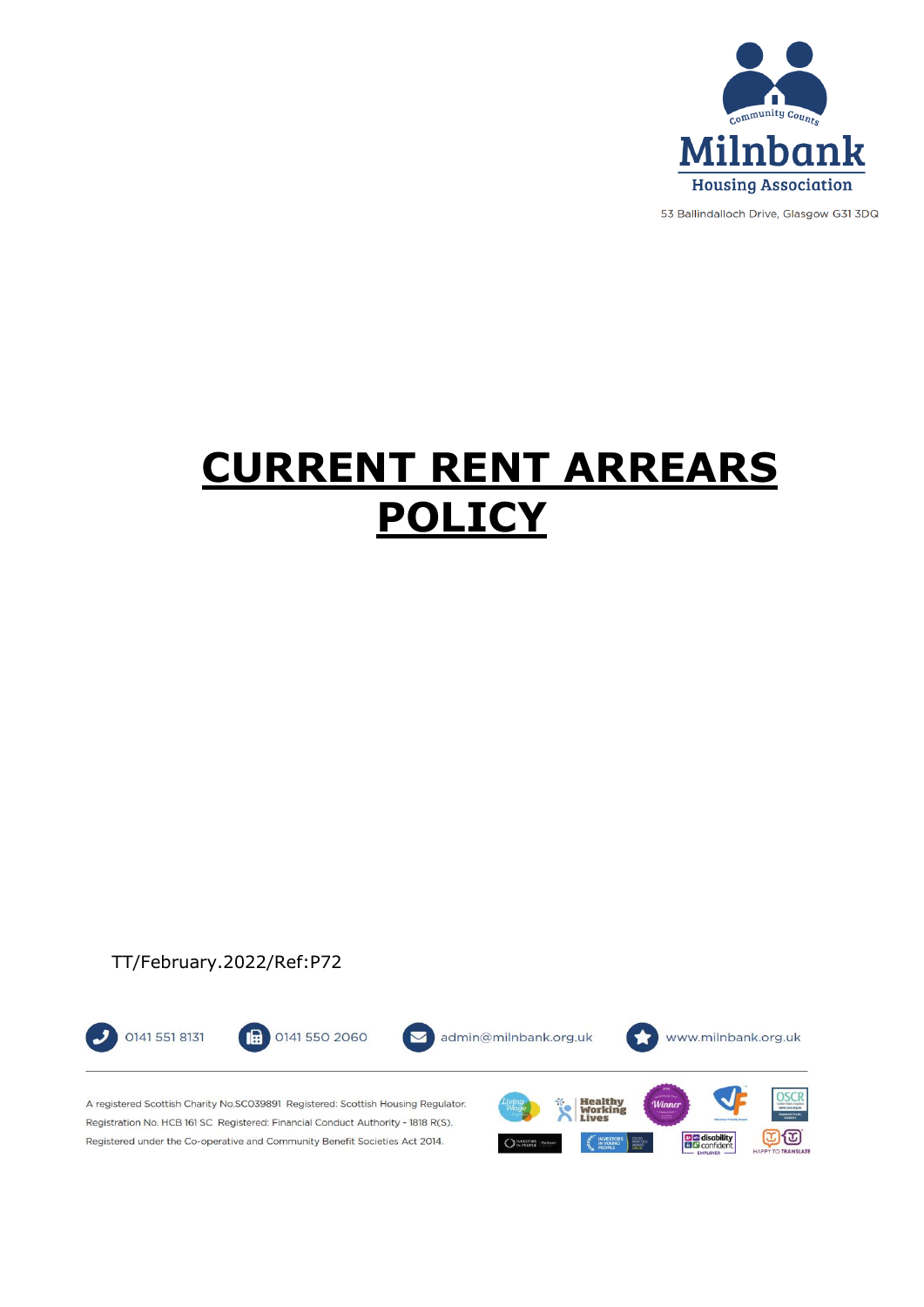

53 Ballindalloch Drive, Glasgow G31 3DQ

# **CURRENT RENT ARREARS POLICY**

TT/February.2022/Ref:P72

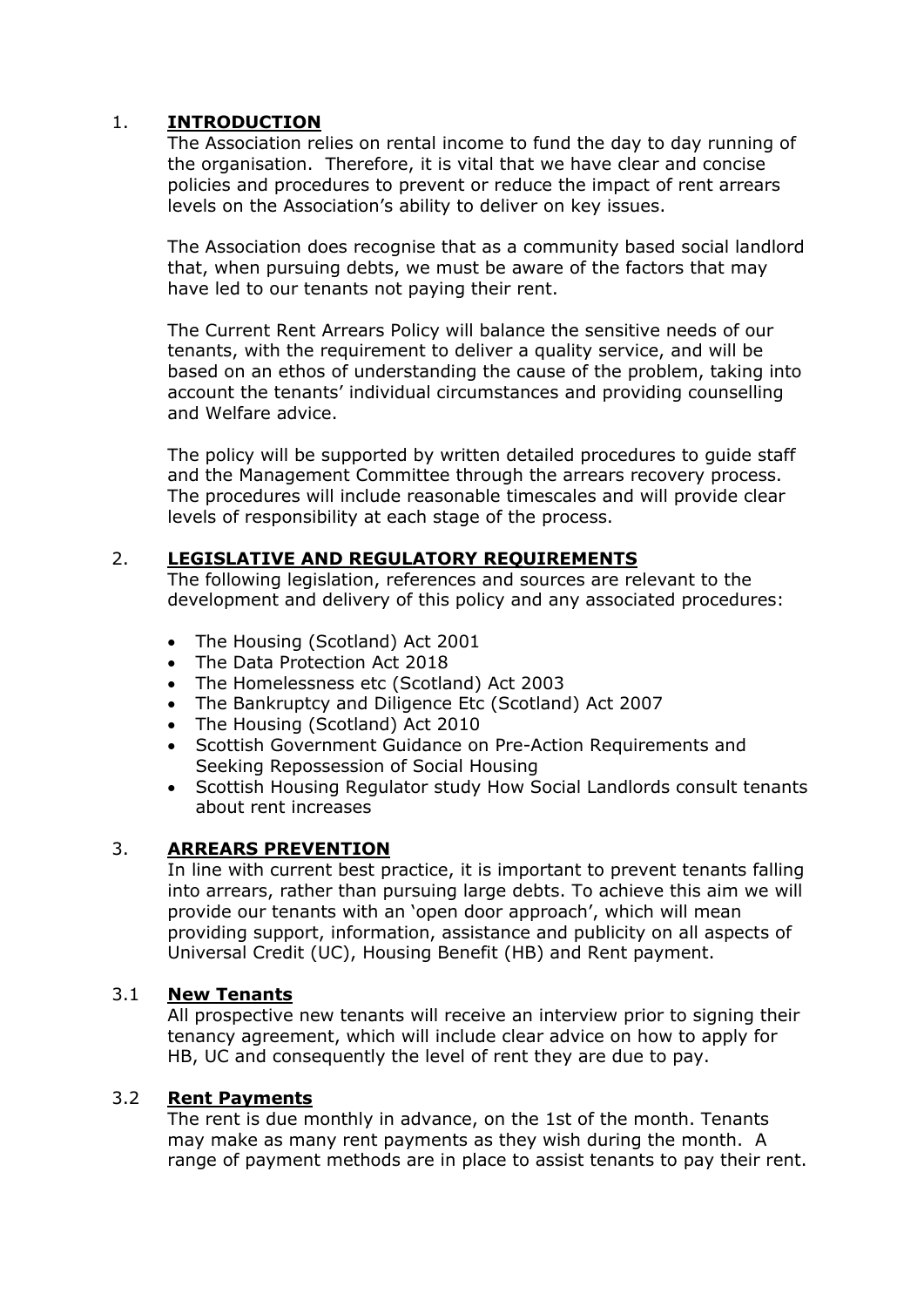# 1. **INTRODUCTION**

The Association relies on rental income to fund the day to day running of the organisation. Therefore, it is vital that we have clear and concise policies and procedures to prevent or reduce the impact of rent arrears levels on the Association's ability to deliver on key issues.

The Association does recognise that as a community based social landlord that, when pursuing debts, we must be aware of the factors that may have led to our tenants not paying their rent.

The Current Rent Arrears Policy will balance the sensitive needs of our tenants, with the requirement to deliver a quality service, and will be based on an ethos of understanding the cause of the problem, taking into account the tenants' individual circumstances and providing counselling and Welfare advice.

The policy will be supported by written detailed procedures to guide staff and the Management Committee through the arrears recovery process. The procedures will include reasonable timescales and will provide clear levels of responsibility at each stage of the process.

# 2. **LEGISLATIVE AND REGULATORY REQUIREMENTS**

The following legislation, references and sources are relevant to the development and delivery of this policy and any associated procedures:

- The Housing (Scotland) Act 2001
- The Data Protection Act 2018
- The Homelessness etc (Scotland) Act 2003
- The Bankruptcy and Diligence Etc (Scotland) Act 2007
- The Housing (Scotland) Act 2010
- Scottish Government Guidance on Pre-Action Requirements and Seeking Repossession of Social Housing
- Scottish Housing Regulator study How Social Landlords consult tenants about rent increases

# 3. **ARREARS PREVENTION**

In line with current best practice, it is important to prevent tenants falling into arrears, rather than pursuing large debts. To achieve this aim we will provide our tenants with an 'open door approach', which will mean providing support, information, assistance and publicity on all aspects of Universal Credit (UC), Housing Benefit (HB) and Rent payment.

# 3.1 **New Tenants**

All prospective new tenants will receive an interview prior to signing their tenancy agreement, which will include clear advice on how to apply for HB, UC and consequently the level of rent they are due to pay.

# 3.2 **Rent Payments**

The rent is due monthly in advance, on the 1st of the month. Tenants may make as many rent payments as they wish during the month. A range of payment methods are in place to assist tenants to pay their rent.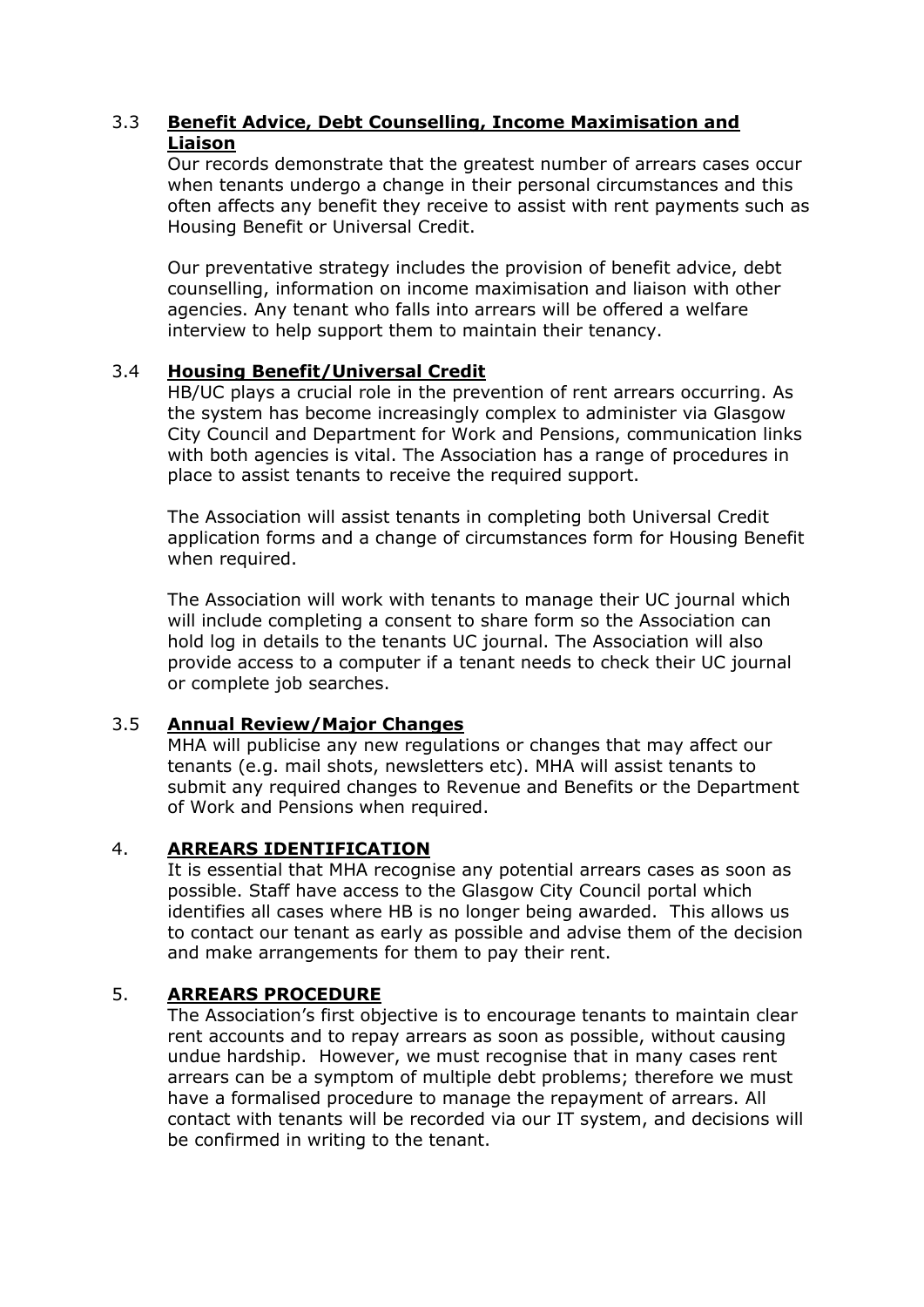# 3.3 **Benefit Advice, Debt Counselling, Income Maximisation and Liaison**

Our records demonstrate that the greatest number of arrears cases occur when tenants undergo a change in their personal circumstances and this often affects any benefit they receive to assist with rent payments such as Housing Benefit or Universal Credit.

Our preventative strategy includes the provision of benefit advice, debt counselling, information on income maximisation and liaison with other agencies. Any tenant who falls into arrears will be offered a welfare interview to help support them to maintain their tenancy.

# 3.4 **Housing Benefit/Universal Credit**

HB/UC plays a crucial role in the prevention of rent arrears occurring. As the system has become increasingly complex to administer via Glasgow City Council and Department for Work and Pensions, communication links with both agencies is vital. The Association has a range of procedures in place to assist tenants to receive the required support.

The Association will assist tenants in completing both Universal Credit application forms and a change of circumstances form for Housing Benefit when required.

The Association will work with tenants to manage their UC journal which will include completing a consent to share form so the Association can hold log in details to the tenants UC journal. The Association will also provide access to a computer if a tenant needs to check their UC journal or complete job searches.

# 3.5 **Annual Review/Major Changes**

MHA will publicise any new regulations or changes that may affect our tenants (e.g. mail shots, newsletters etc). MHA will assist tenants to submit any required changes to Revenue and Benefits or the Department of Work and Pensions when required.

# 4. **ARREARS IDENTIFICATION**

It is essential that MHA recognise any potential arrears cases as soon as possible. Staff have access to the Glasgow City Council portal which identifies all cases where HB is no longer being awarded. This allows us to contact our tenant as early as possible and advise them of the decision and make arrangements for them to pay their rent.

# 5. **ARREARS PROCEDURE**

The Association's first objective is to encourage tenants to maintain clear rent accounts and to repay arrears as soon as possible, without causing undue hardship. However, we must recognise that in many cases rent arrears can be a symptom of multiple debt problems; therefore we must have a formalised procedure to manage the repayment of arrears. All contact with tenants will be recorded via our IT system, and decisions will be confirmed in writing to the tenant.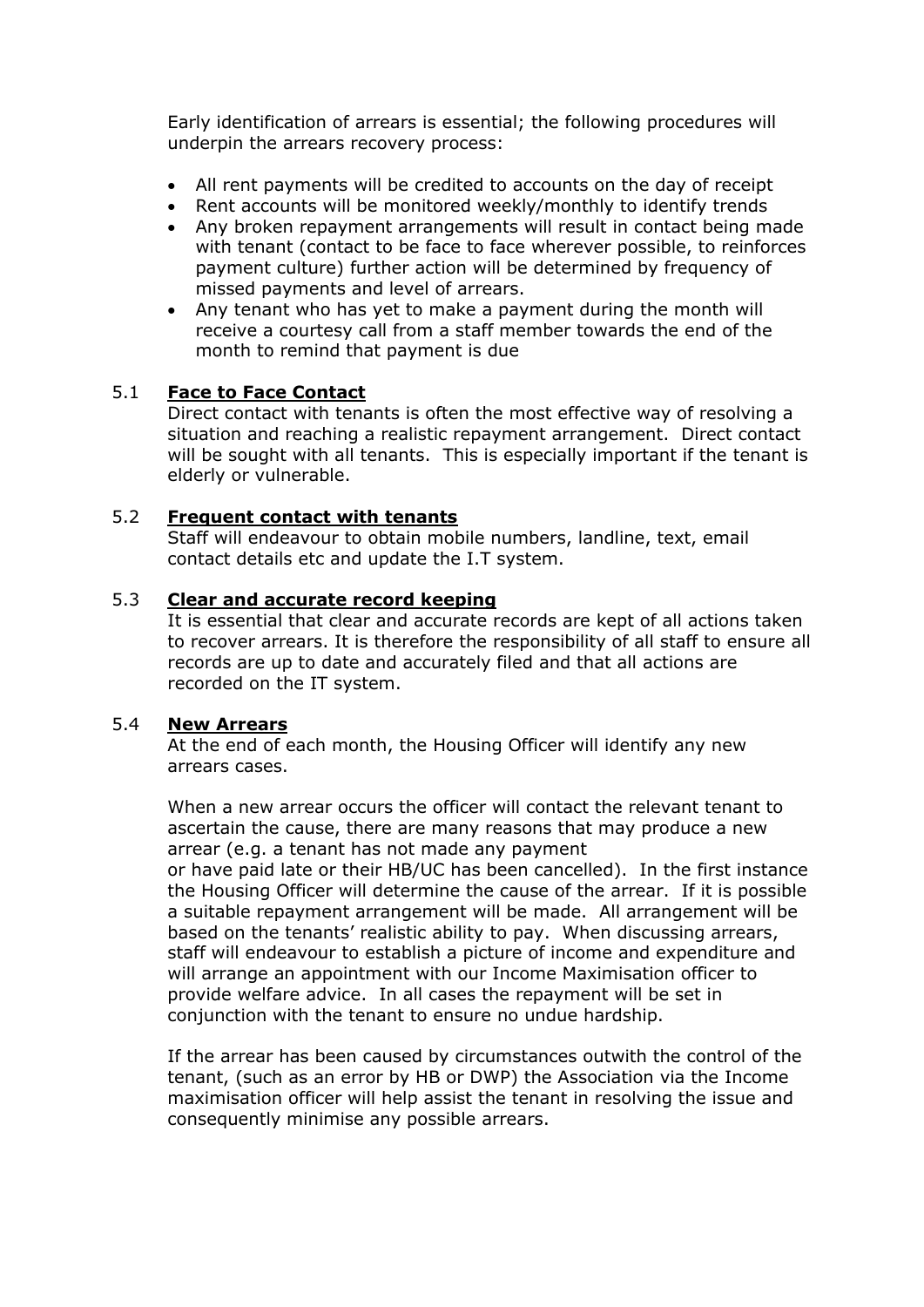Early identification of arrears is essential; the following procedures will underpin the arrears recovery process:

- All rent payments will be credited to accounts on the day of receipt
- Rent accounts will be monitored weekly/monthly to identify trends
- Any broken repayment arrangements will result in contact being made with tenant (contact to be face to face wherever possible, to reinforces payment culture) further action will be determined by frequency of missed payments and level of arrears.
- Any tenant who has yet to make a payment during the month will receive a courtesy call from a staff member towards the end of the month to remind that payment is due

# 5.1 **Face to Face Contact**

Direct contact with tenants is often the most effective way of resolving a situation and reaching a realistic repayment arrangement. Direct contact will be sought with all tenants. This is especially important if the tenant is elderly or vulnerable.

# 5.2 **Frequent contact with tenants**

Staff will endeavour to obtain mobile numbers, landline, text, email contact details etc and update the I.T system.

### 5.3 **Clear and accurate record keeping**

It is essential that clear and accurate records are kept of all actions taken to recover arrears. It is therefore the responsibility of all staff to ensure all records are up to date and accurately filed and that all actions are recorded on the IT system.

#### 5.4 **New Arrears**

At the end of each month, the Housing Officer will identify any new arrears cases.

When a new arrear occurs the officer will contact the relevant tenant to ascertain the cause, there are many reasons that may produce a new arrear (e.g. a tenant has not made any payment

or have paid late or their HB/UC has been cancelled). In the first instance the Housing Officer will determine the cause of the arrear. If it is possible a suitable repayment arrangement will be made. All arrangement will be based on the tenants' realistic ability to pay. When discussing arrears, staff will endeavour to establish a picture of income and expenditure and will arrange an appointment with our Income Maximisation officer to provide welfare advice. In all cases the repayment will be set in conjunction with the tenant to ensure no undue hardship.

If the arrear has been caused by circumstances outwith the control of the tenant, (such as an error by HB or DWP) the Association via the Income maximisation officer will help assist the tenant in resolving the issue and consequently minimise any possible arrears.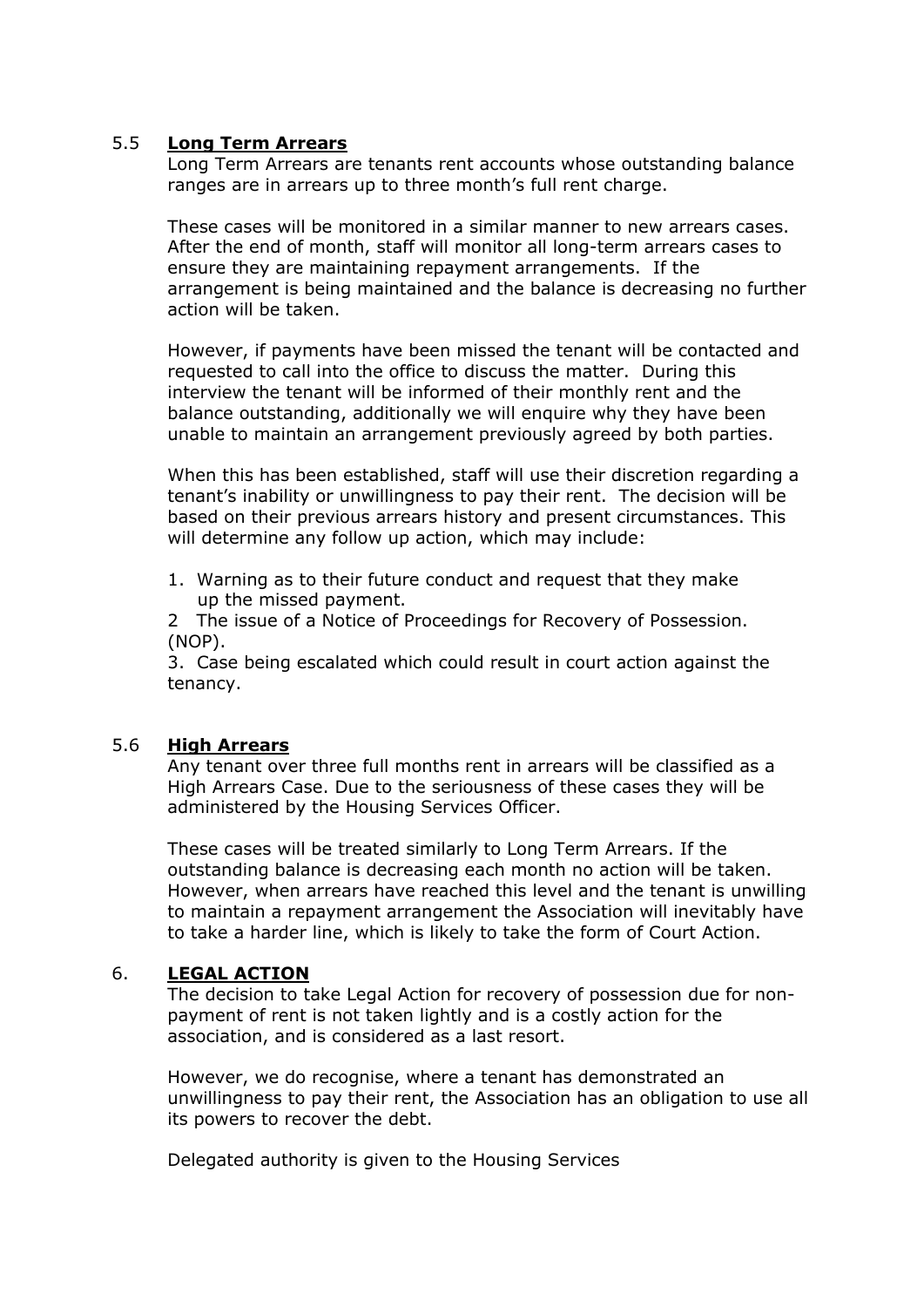### 5.5 **Long Term Arrears**

Long Term Arrears are tenants rent accounts whose outstanding balance ranges are in arrears up to three month's full rent charge.

These cases will be monitored in a similar manner to new arrears cases. After the end of month, staff will monitor all long-term arrears cases to ensure they are maintaining repayment arrangements. If the arrangement is being maintained and the balance is decreasing no further action will be taken.

However, if payments have been missed the tenant will be contacted and requested to call into the office to discuss the matter. During this interview the tenant will be informed of their monthly rent and the balance outstanding, additionally we will enquire why they have been unable to maintain an arrangement previously agreed by both parties.

When this has been established, staff will use their discretion regarding a tenant's inability or unwillingness to pay their rent. The decision will be based on their previous arrears history and present circumstances. This will determine any follow up action, which may include:

1. Warning as to their future conduct and request that they make up the missed payment.

2 The issue of a Notice of Proceedings for Recovery of Possession. (NOP).

3. Case being escalated which could result in court action against the tenancy.

#### 5.6 **High Arrears**

Any tenant over three full months rent in arrears will be classified as a High Arrears Case. Due to the seriousness of these cases they will be administered by the Housing Services Officer.

These cases will be treated similarly to Long Term Arrears. If the outstanding balance is decreasing each month no action will be taken. However, when arrears have reached this level and the tenant is unwilling to maintain a repayment arrangement the Association will inevitably have to take a harder line, which is likely to take the form of Court Action.

#### 6. **LEGAL ACTION**

The decision to take Legal Action for recovery of possession due for nonpayment of rent is not taken lightly and is a costly action for the association, and is considered as a last resort.

However, we do recognise, where a tenant has demonstrated an unwillingness to pay their rent, the Association has an obligation to use all its powers to recover the debt.

Delegated authority is given to the Housing Services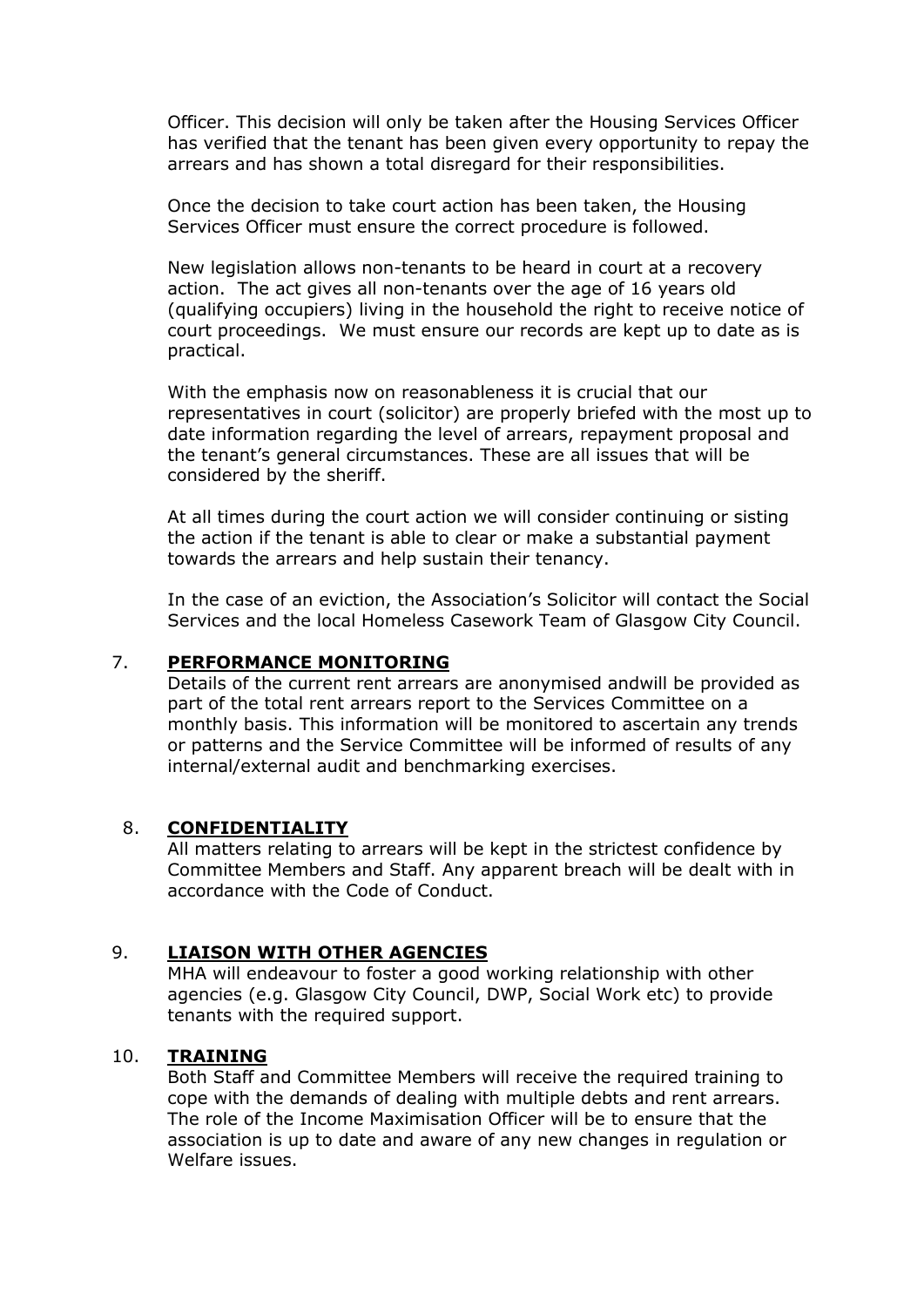Officer. This decision will only be taken after the Housing Services Officer has verified that the tenant has been given every opportunity to repay the arrears and has shown a total disregard for their responsibilities.

Once the decision to take court action has been taken, the Housing Services Officer must ensure the correct procedure is followed.

New legislation allows non-tenants to be heard in court at a recovery action. The act gives all non-tenants over the age of 16 years old (qualifying occupiers) living in the household the right to receive notice of court proceedings. We must ensure our records are kept up to date as is practical.

With the emphasis now on reasonableness it is crucial that our representatives in court (solicitor) are properly briefed with the most up to date information regarding the level of arrears, repayment proposal and the tenant's general circumstances. These are all issues that will be considered by the sheriff.

At all times during the court action we will consider continuing or sisting the action if the tenant is able to clear or make a substantial payment towards the arrears and help sustain their tenancy.

In the case of an eviction, the Association's Solicitor will contact the Social Services and the local Homeless Casework Team of Glasgow City Council.

#### 7. **PERFORMANCE MONITORING**

Details of the current rent arrears are anonymised andwill be provided as part of the total rent arrears report to the Services Committee on a monthly basis. This information will be monitored to ascertain any trends or patterns and the Service Committee will be informed of results of any internal/external audit and benchmarking exercises.

#### 8. **CONFIDENTIALITY**

All matters relating to arrears will be kept in the strictest confidence by Committee Members and Staff. Any apparent breach will be dealt with in accordance with the Code of Conduct.

#### 9. **LIAISON WITH OTHER AGENCIES**

MHA will endeavour to foster a good working relationship with other agencies (e.g. Glasgow City Council, DWP, Social Work etc) to provide tenants with the required support.

#### 10. **TRAINING**

Both Staff and Committee Members will receive the required training to cope with the demands of dealing with multiple debts and rent arrears. The role of the Income Maximisation Officer will be to ensure that the association is up to date and aware of any new changes in regulation or Welfare issues.